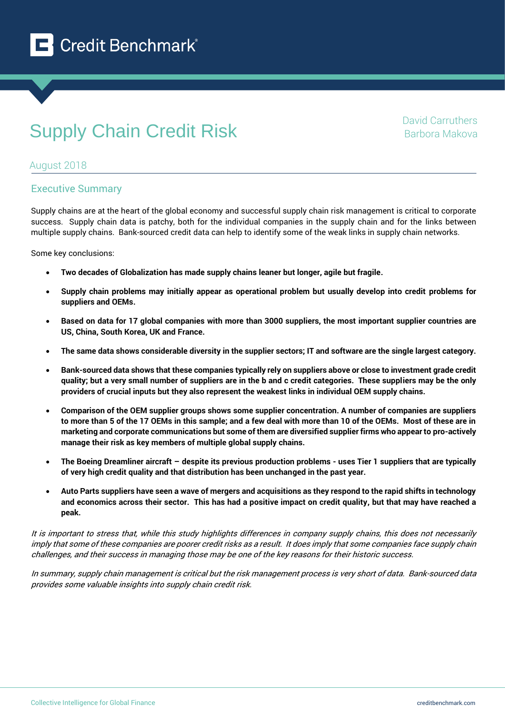

# **Supply Chain Credit Risk** David Carruthers David Carruthers

Barbora Makova

## August 2018

## Executive Summary

Supply chains are at the heart of the global economy and successful supply chain risk management is critical to corporate success. Supply chain data is patchy, both for the individual companies in the supply chain and for the links between multiple supply chains. Bank-sourced credit data can help to identify some of the weak links in supply chain networks.

Some key conclusions:

- **Two decades of Globalization has made supply chains leaner but longer, agile but fragile.**
- **Supply chain problems may initially appear as operational problem but usually develop into credit problems for suppliers and OEMs.**
- **Based on data for 17 global companies with more than 3000 suppliers, the most important supplier countries are US, China, South Korea, UK and France.**
- **The same data shows considerable diversity in the supplier sectors; IT and software are the single largest category.**
- **Bank-sourced data shows that these companies typically rely on suppliers above or close to investment grade credit quality; but a very small number of suppliers are in the b and c credit categories. These suppliers may be the only providers of crucial inputs but they also represent the weakest links in individual OEM supply chains.**
- **Comparison of the OEM supplier groups shows some supplier concentration. A number of companies are suppliers to more than 5 of the 17 OEMs in this sample; and a few deal with more than 10 of the OEMs. Most of these are in marketing and corporate communications but some of them are diversified supplier firms who appear to pro-actively manage their risk as key members of multiple global supply chains.**
- **The Boeing Dreamliner aircraft – despite its previous production problems - uses Tier 1 suppliers that are typically of very high credit quality and that distribution has been unchanged in the past year.**
- **Auto Parts suppliers have seen a wave of mergers and acquisitions as they respond to the rapid shifts in technology and economics across their sector. This has had a positive impact on credit quality, but that may have reached a peak.**

It is important to stress that, while this study highlights differences in company supply chains, this does not necessarily imply that some of these companies are poorer credit risks as a result. It does imply that some companies face supply chain challenges, and their success in managing those may be one of the key reasons for their historic success.

In summary, supply chain management is critical but the risk management process is very short of data. Bank-sourced data provides some valuable insights into supply chain credit risk.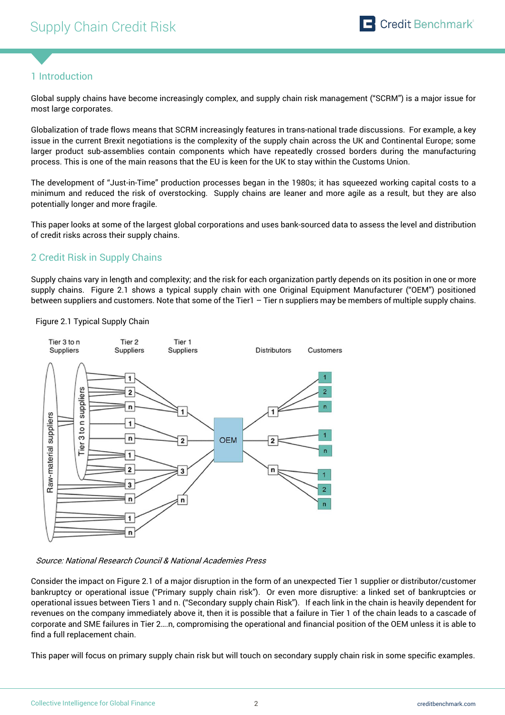## 1 Introduction

Global supply chains have become increasingly complex, and supply chain risk management ("SCRM") is a major issue for most large corporates.

Globalization of trade flows means that SCRM increasingly features in trans-national trade discussions. For example, a key issue in the current Brexit negotiations is the complexity of the supply chain across the UK and Continental Europe; some larger product sub-assemblies contain components which have repeatedly crossed borders during the manufacturing process. This is one of the main reasons that the EU is keen for the UK to stay within the Customs Union.

The development of "Just-in-Time" production processes began in the 1980s; it has squeezed working capital costs to a minimum and reduced the risk of overstocking. Supply chains are leaner and more agile as a result, but they are also potentially longer and more fragile.

This paper looks at some of the largest global corporations and uses bank-sourced data to assess the level and distribution of credit risks across their supply chains.

## 2 Credit Risk in Supply Chains

Supply chains vary in length and complexity; and the risk for each organization partly depends on its position in one or more supply chains. Figure 2.1 shows a typical supply chain with one Original Equipment Manufacturer ("OEM") positioned between suppliers and customers. Note that some of the Tier1 - Tier n suppliers may be members of multiple supply chains.

#### Figure 2.1 Typical Supply Chain



Source: National Research Council & National Academies Press

Consider the impact on Figure 2.1 of a major disruption in the form of an unexpected Tier 1 supplier or distributor/customer bankruptcy or operational issue ("Primary supply chain risk"). Or even more disruptive: a linked set of bankruptcies or operational issues between Tiers 1 and n. ("Secondary supply chain Risk"). If each link in the chain is heavily dependent for revenues on the company immediately above it, then it is possible that a failure in Tier 1 of the chain leads to a cascade of corporate and SME failures in Tier 2….n, compromising the operational and financial position of the OEM unless it is able to find a full replacement chain.

This paper will focus on primary supply chain risk but will touch on secondary supply chain risk in some specific examples.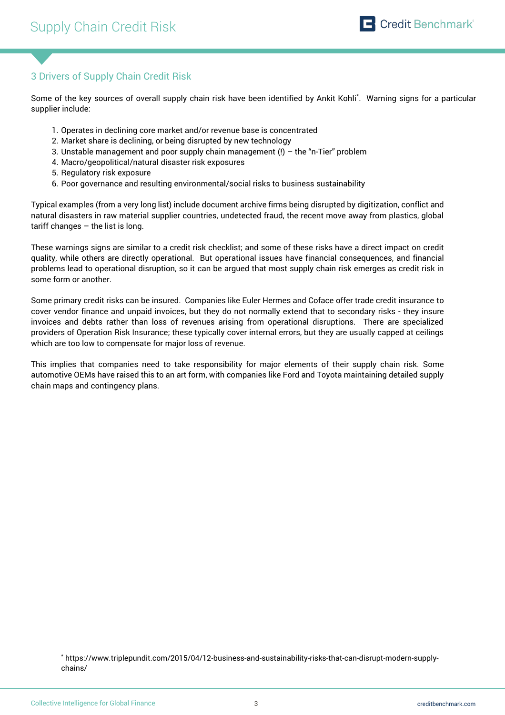## 3 Drivers of Supply Chain Credit Risk

Some of the key sources of overall supply chain risk have been identified by Ankit Kohli\* . Warning signs for a particular supplier include:

- 1. Operates in declining core market and/or revenue base is concentrated
- 2. Market share is declining, or being disrupted by new technology
- 3. Unstable management and poor supply chain management  $(!)$  the "n-Tier" problem
- 4. Macro/geopolitical/natural disaster risk exposures
- 5. Regulatory risk exposure
- 6. Poor governance and resulting environmental/social risks to business sustainability

Typical examples (from a very long list) include document archive firms being disrupted by digitization, conflict and natural disasters in raw material supplier countries, undetected fraud, the recent move away from plastics, global tariff changes  $-$  the list is long.

These warnings signs are similar to a credit risk checklist; and some of these risks have a direct impact on credit quality, while others are directly operational. But operational issues have financial consequences, and financial problems lead to operational disruption, so it can be argued that most supply chain risk emerges as credit risk in some form or another.

Some primary credit risks can be insured. Companies like Euler Hermes and Coface offer trade credit insurance to cover vendor finance and unpaid invoices, but they do not normally extend that to secondary risks - they insure invoices and debts rather than loss of revenues arising from operational disruptions. There are specialized providers of Operation Risk Insurance; these typically cover internal errors, but they are usually capped at ceilings which are too low to compensate for major loss of revenue.

This implies that companies need to take responsibility for major elements of their supply chain risk. Some automotive OEMs have raised this to an art form, with companies like Ford and Toyota maintaining detailed supply chain maps and contingency plans.

<sup>\*</sup> https://www.triplepundit.com/2015/04/12-business-and-sustainability-risks-that-can-disrupt-modern-supplychains/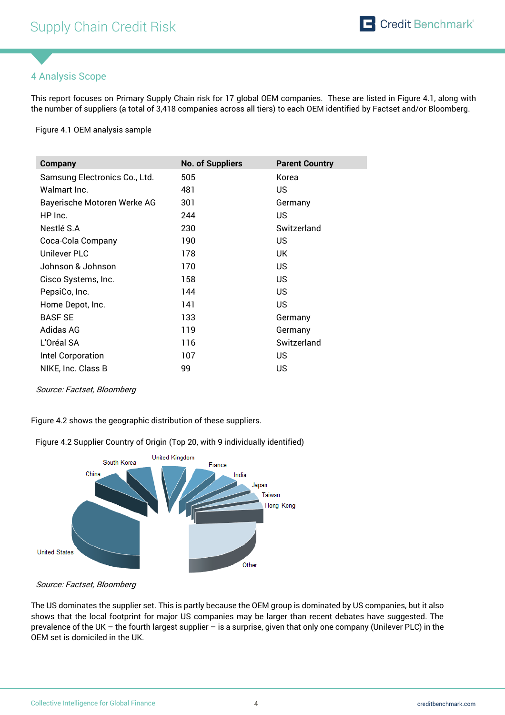## 4 Analysis Scope

This report focuses on Primary Supply Chain risk for 17 global OEM companies. These are listed in Figure 4.1, along with the number of suppliers (a total of 3,418 companies across all tiers) to each OEM identified by Factset and/or Bloomberg.

Figure 4.1 OEM analysis sample

| <b>Company</b>                | <b>No. of Suppliers</b> | <b>Parent Country</b> |
|-------------------------------|-------------------------|-----------------------|
| Samsung Electronics Co., Ltd. | 505                     | Korea                 |
| Walmart Inc.                  | 481                     | US.                   |
| Bayerische Motoren Werke AG   | 301                     | Germany               |
| HP Inc.                       | 244                     | US.                   |
| Nestlé S.A                    | 230                     | Switzerland           |
| Coca-Cola Company             | 190                     | US.                   |
| Unilever PLC                  | 178                     | UK.                   |
| Johnson & Johnson             | 170                     | US.                   |
| Cisco Systems, Inc.           | 158                     | US.                   |
| PepsiCo, Inc.                 | 144                     | US.                   |
| Home Depot, Inc.              | 141                     | US.                   |
| <b>BASF SE</b>                | 133                     | Germany               |
| Adidas AG                     | 119                     | Germany               |
| L'Oréal SA                    | 116                     | Switzerland           |
| Intel Corporation             | 107                     | US.                   |
| NIKE, Inc. Class B            | 99                      | US.                   |

#### Source: Factset, Bloomberg

Figure 4.2 shows the geographic distribution of these suppliers.

Figure 4.2 Supplier Country of Origin (Top 20, with 9 individually identified)



Source: Factset, Bloomberg

The US dominates the supplier set. This is partly because the OEM group is dominated by US companies, but it also shows that the local footprint for major US companies may be larger than recent debates have suggested. The prevalence of the UK – the fourth largest supplier – is a surprise, given that only one company (Unilever PLC) in the OEM set is domiciled in the UK.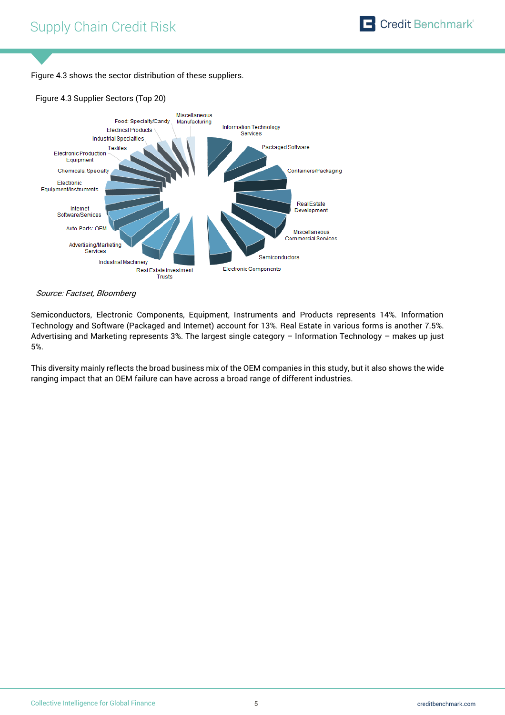Figure 4.3 shows the sector distribution of these suppliers.

### Figure 4.3 Supplier Sectors (Top 20)



#### Source: Factset, Bloomberg

Semiconductors, Electronic Components, Equipment, Instruments and Products represents 14%. Information Technology and Software (Packaged and Internet) account for 13%. Real Estate in various forms is another 7.5%. Advertising and Marketing represents 3%. The largest single category – Information Technology – makes up just 5%.

This diversity mainly reflects the broad business mix of the OEM companies in this study, but it also shows the wide ranging impact that an OEM failure can have across a broad range of different industries.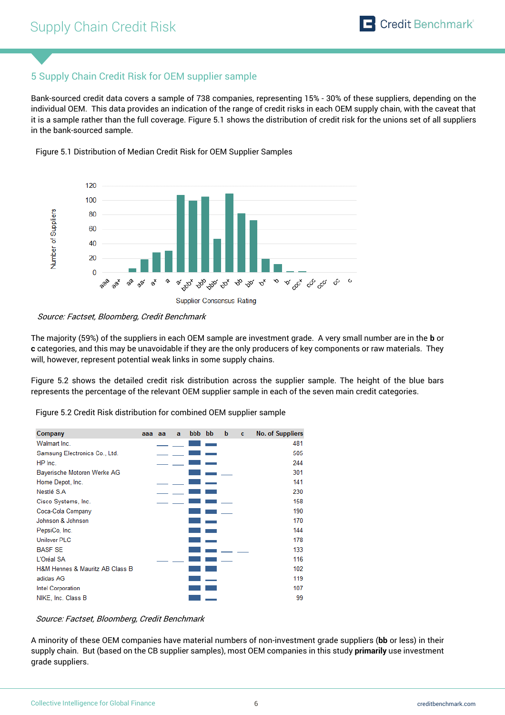## 5 Supply Chain Credit Risk for OEM supplier sample

Bank-sourced credit data covers a sample of 738 companies, representing 15% - 30% of these suppliers, depending on the individual OEM. This data provides an indication of the range of credit risks in each OEM supply chain, with the caveat that it is a sample rather than the full coverage. Figure 5.1 shows the distribution of credit risk for the unions set of all suppliers in the bank-sourced sample.



Figure 5.1 Distribution of Median Credit Risk for OEM Supplier Samples

The majority (59%) of the suppliers in each OEM sample are investment grade. A very small number are in the **b** or **c** categories, and this may be unavoidable if they are the only producers of key components or raw materials. They will, however, represent potential weak links in some supply chains.

Figure 5.2 shows the detailed credit risk distribution across the supplier sample. The height of the blue bars represents the percentage of the relevant OEM supplier sample in each of the seven main credit categories.

Figure 5.2 Credit Risk distribution for combined OEM supplier sample



#### Source: Factset, Bloomberg, Credit Benchmark

A minority of these OEM companies have material numbers of non-investment grade suppliers (**bb** or less) in their supply chain. But (based on the CB supplier samples), most OEM companies in this study **primarily** use investment grade suppliers.

Source: Factset, Bloomberg, Credit Benchmark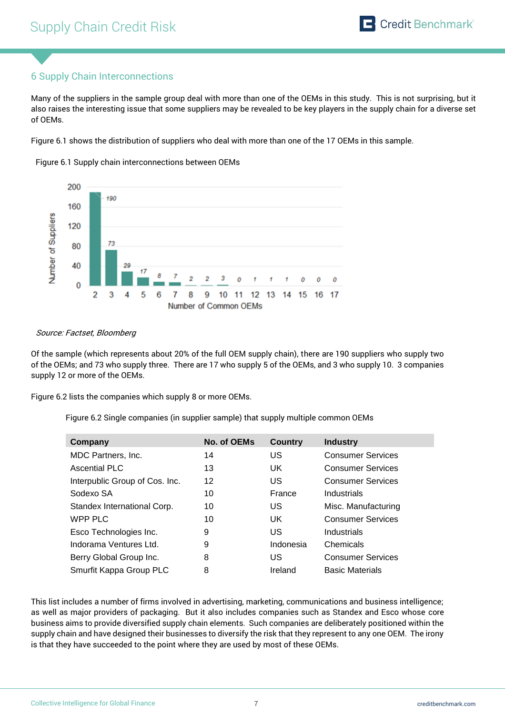## 6 Supply Chain Interconnections

Many of the suppliers in the sample group deal with more than one of the OEMs in this study. This is not surprising, but it also raises the interesting issue that some suppliers may be revealed to be key players in the supply chain for a diverse set of OEMs.

Figure 6.1 shows the distribution of suppliers who deal with more than one of the 17 OEMs in this sample.



Figure 6.1 Supply chain interconnections between OEMs

#### Source: Factset, Bloomberg

Of the sample (which represents about 20% of the full OEM supply chain), there are 190 suppliers who supply two of the OEMs; and 73 who supply three. There are 17 who supply 5 of the OEMs, and 3 who supply 10. 3 companies supply 12 or more of the OEMs.

Figure 6.2 lists the companies which supply 8 or more OEMs.

Figure 6.2 Single companies (in supplier sample) that supply multiple common OEMs

| Company                        | No. of OEMs | <b>Country</b> | <b>Industry</b>          |
|--------------------------------|-------------|----------------|--------------------------|
| MDC Partners, Inc.             | 14          | US             | <b>Consumer Services</b> |
| Ascential PLC                  | 13          | UK.            | <b>Consumer Services</b> |
| Interpublic Group of Cos. Inc. | 12          | US             | <b>Consumer Services</b> |
| Sodexo SA                      | 10          | France         | Industrials              |
| Standex International Corp.    | 10          | US             | Misc. Manufacturing      |
| WPP PLC                        | 10          | UK             | <b>Consumer Services</b> |
| Esco Technologies Inc.         | 9           | US             | Industrials              |
| Indorama Ventures Ltd.         | 9           | Indonesia      | Chemicals                |
| Berry Global Group Inc.        | 8           | US             | <b>Consumer Services</b> |
| Smurfit Kappa Group PLC        | 8           | Ireland        | <b>Basic Materials</b>   |

This list includes a number of firms involved in advertising, marketing, communications and business intelligence; as well as major providers of packaging. But it also includes companies such as Standex and Esco whose core business aims to provide diversified supply chain elements. Such companies are deliberately positioned within the supply chain and have designed their businesses to diversify the risk that they represent to any one OEM. The irony is that they have succeeded to the point where they are used by most of these OEMs.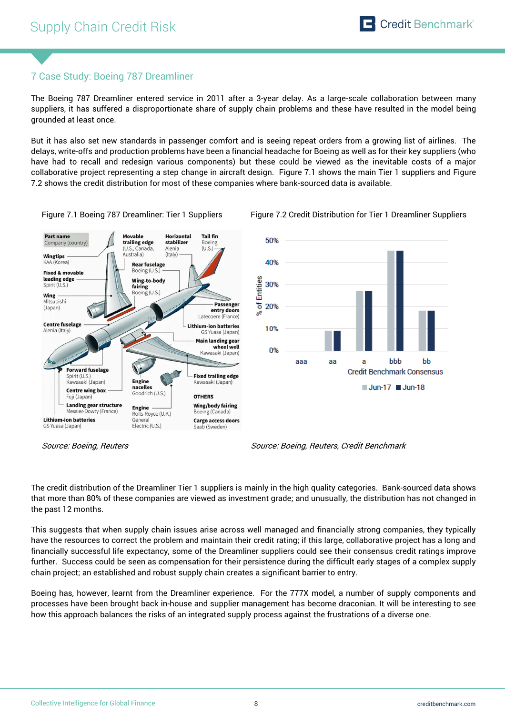## 7 Case Study: Boeing 787 Dreamliner

The Boeing 787 Dreamliner entered service in 2011 after a 3-year delay. As a large-scale collaboration between many suppliers, it has suffered a disproportionate share of supply chain problems and these have resulted in the model being grounded at least once.

But it has also set new standards in passenger comfort and is seeing repeat orders from a growing list of airlines. The delays, write-offs and production problems have been a financial headache for Boeing as well as for their key suppliers (who have had to recall and redesign various components) but these could be viewed as the inevitable costs of a major collaborative project representing a step change in aircraft design. Figure 7.1 shows the main Tier 1 suppliers and Figure 7.2 shows the credit distribution for most of these companies where bank-sourced data is available.



Figure 7.1 Boeing 787 Dreamliner: Tier 1 Suppliers Figure 7.2 Credit Distribution for Tier 1 Dreamliner Suppliers



The credit distribution of the Dreamliner Tier 1 suppliers is mainly in the high quality categories. Bank-sourced data shows that more than 80% of these companies are viewed as investment grade; and unusually, the distribution has not changed in the past 12 months.

This suggests that when supply chain issues arise across well managed and financially strong companies, they typically have the resources to correct the problem and maintain their credit rating; if this large, collaborative project has a long and financially successful life expectancy, some of the Dreamliner suppliers could see their consensus credit ratings improve further. Success could be seen as compensation for their persistence during the difficult early stages of a complex supply chain project; an established and robust supply chain creates a significant barrier to entry.

Boeing has, however, learnt from the Dreamliner experience. For the 777X model, a number of supply components and processes have been brought back in-house and supplier management has become draconian. It will be interesting to see how this approach balances the risks of an integrated supply process against the frustrations of a diverse one.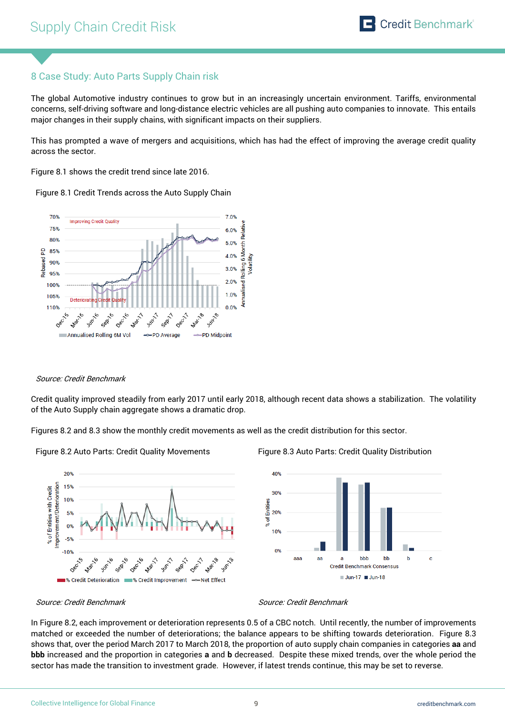## 8 Case Study: Auto Parts Supply Chain risk

The global Automotive industry continues to grow but in an increasingly uncertain environment. Tariffs, environmental concerns, self-driving software and long-distance electric vehicles are all pushing auto companies to innovate. This entails major changes in their supply chains, with significant impacts on their suppliers.

This has prompted a wave of mergers and acquisitions, which has had the effect of improving the average credit quality across the sector.

Figure 8.1 shows the credit trend since late 2016.

Figure 8.1 Credit Trends across the Auto Supply Chain



#### Source: Credit Benchmark

Credit quality improved steadily from early 2017 until early 2018, although recent data shows a stabilization. The volatility of the Auto Supply chain aggregate shows a dramatic drop.

Figures 8.2 and 8.3 show the monthly credit movements as well as the credit distribution for this sector.



Figure 8.2 Auto Parts: Credit Quality Movements Figure 8.3 Auto Parts: Credit Quality Distribution



Source: Credit Benchmark Source: Credit Benchmark

In Figure 8.2, each improvement or deterioration represents 0.5 of a CBC notch. Until recently, the number of improvements matched or exceeded the number of deteriorations; the balance appears to be shifting towards deterioration. Figure 8.3 shows that, over the period March 2017 to March 2018, the proportion of auto supply chain companies in categories **aa** and **bbb** increased and the proportion in categories **a** and **b** decreased. Despite these mixed trends, over the whole period the sector has made the transition to investment grade. However, if latest trends continue, this may be set to reverse.